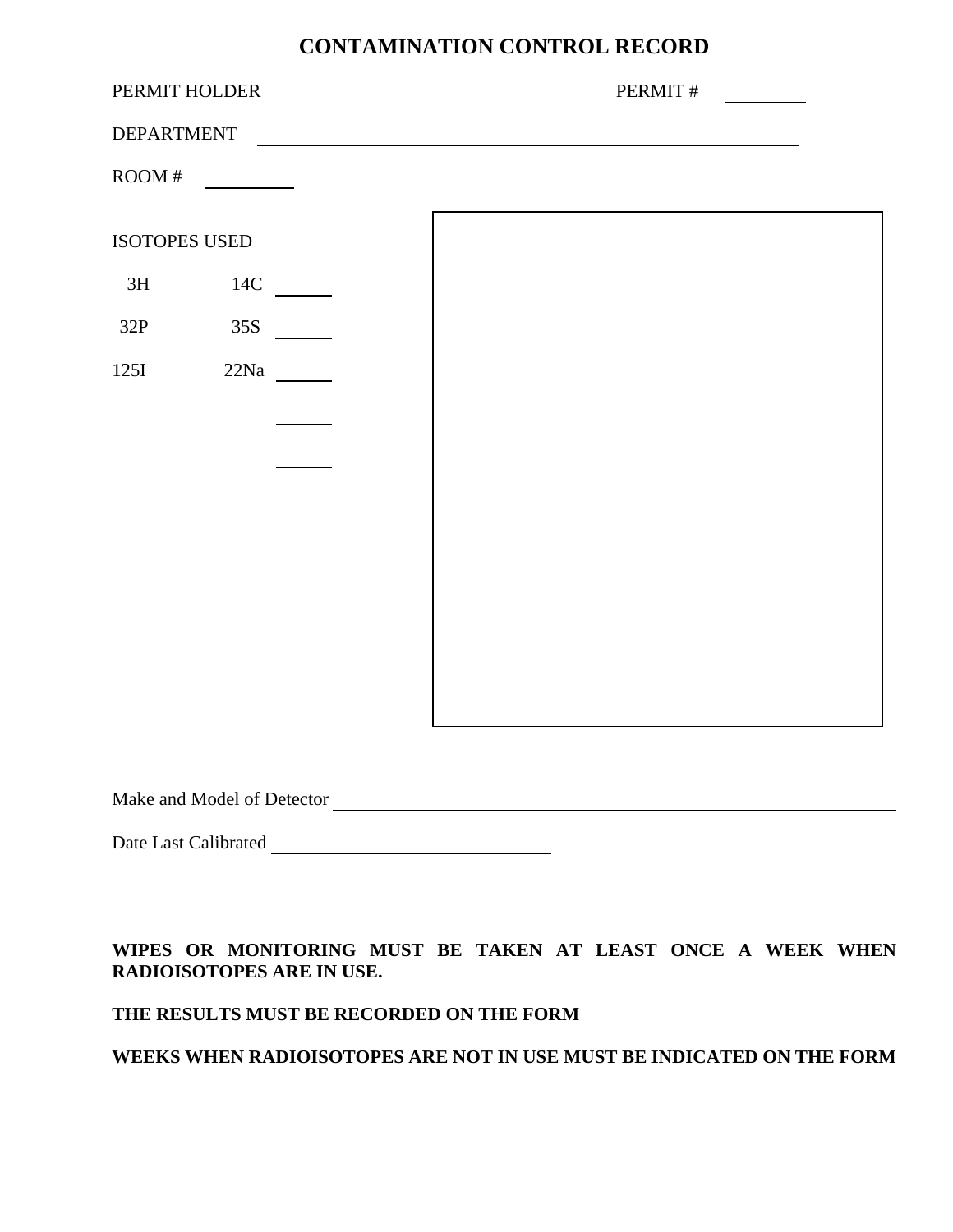# **CONTAMINATION CONTROL RECORD**

| PERMIT HOLDER     |       |  | PERMIT# |
|-------------------|-------|--|---------|
| <b>DEPARTMENT</b> |       |  |         |
| $\text{ROM}$ #    |       |  |         |
| ISOTOPES USED     |       |  |         |
| 3H                | $14C$ |  |         |
| 32P               | 35S   |  |         |
| 125I              | 22Na  |  |         |
|                   |       |  |         |
|                   |       |  |         |
|                   |       |  |         |
|                   |       |  |         |
|                   |       |  |         |
|                   |       |  |         |
|                   |       |  |         |

Make and Model of Detector

Date Last Calibrated

**WIPES OR MONITORING MUST BE TAKEN AT LEAST ONCE A WEEK WHEN RADIOISOTOPES ARE IN USE.** 

#### **THE RESULTS MUST BE RECORDED ON THE FORM**

#### **WEEKS WHEN RADIOISOTOPES ARE NOT IN USE MUST BE INDICATED ON THE FORM**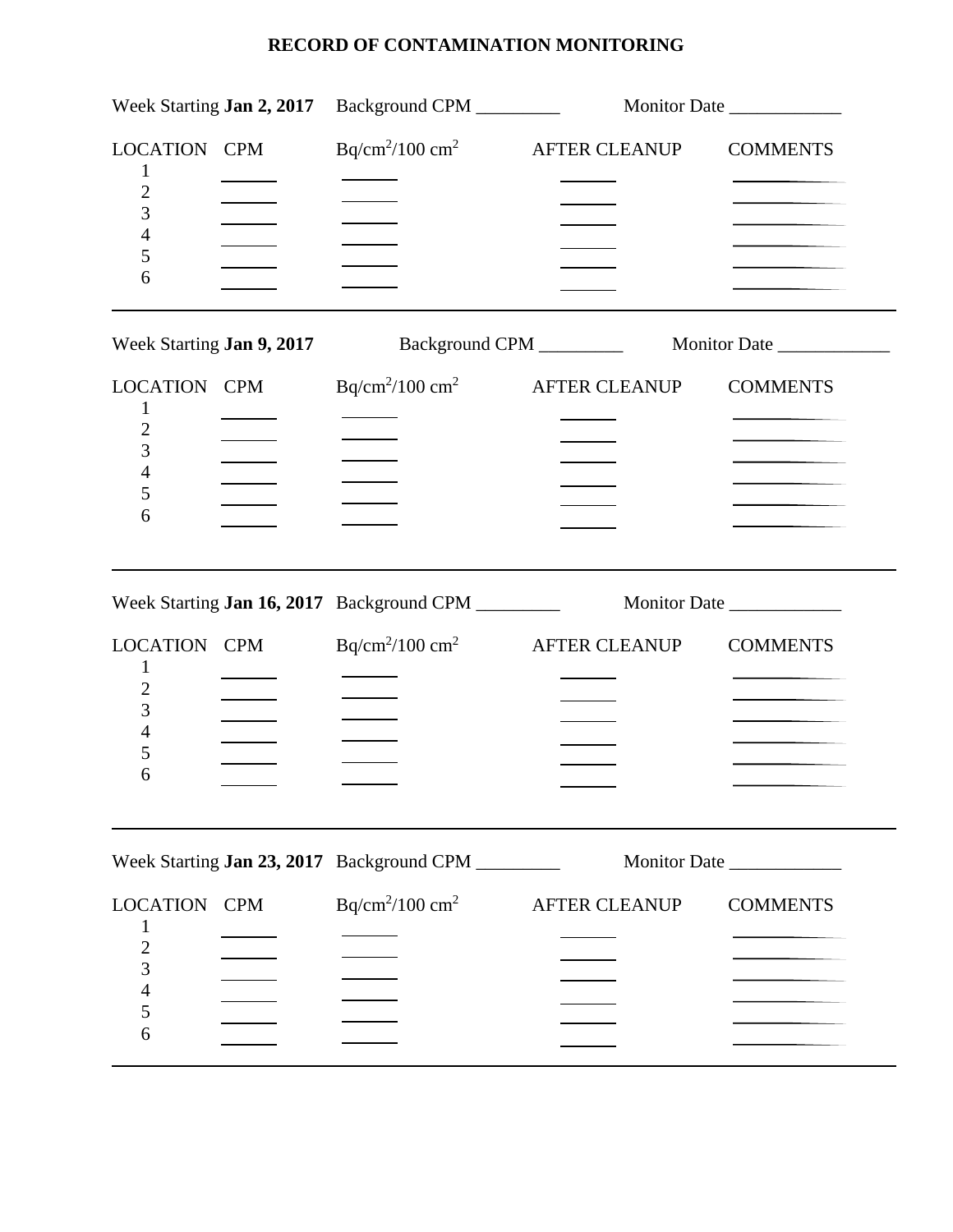| Week Starting <b>Jan 2, 2017</b>                                  |  | Background CPM __________                          |                      | Monitor Date    |
|-------------------------------------------------------------------|--|----------------------------------------------------|----------------------|-----------------|
| LOCATION CPM<br>1<br>$\overline{c}$<br>3<br>4<br>5<br>6           |  | $Bq/cm^2/100 cm^2$                                 | AFTER CLEANUP        | <b>COMMENTS</b> |
| Week Starting Jan 9, 2017                                         |  |                                                    |                      |                 |
| LOCATION CPM<br>$\mathbf 1$<br>$\overline{2}$<br>3<br>4<br>5<br>6 |  | $Bq/cm^2/100 cm^2$                                 | <b>AFTER CLEANUP</b> | <b>COMMENTS</b> |
|                                                                   |  | Week Starting Jan 16, 2017 Background CPM ________ |                      | Monitor Date    |
| LOCATION CPM<br>1<br>$\overline{c}$<br>3<br>4<br>5<br>6           |  | $Bq/cm^2/100 cm^2$                                 | <b>AFTER CLEANUP</b> | <b>COMMENTS</b> |
|                                                                   |  | Week Starting Jan 23, 2017 Background CPM          |                      |                 |
| LOCATION CPM<br>1<br>$\overline{c}$<br>3<br>4<br>5<br>6           |  | $Bq/cm^2/100 cm^2$                                 | <b>AFTER CLEANUP</b> | <b>COMMENTS</b> |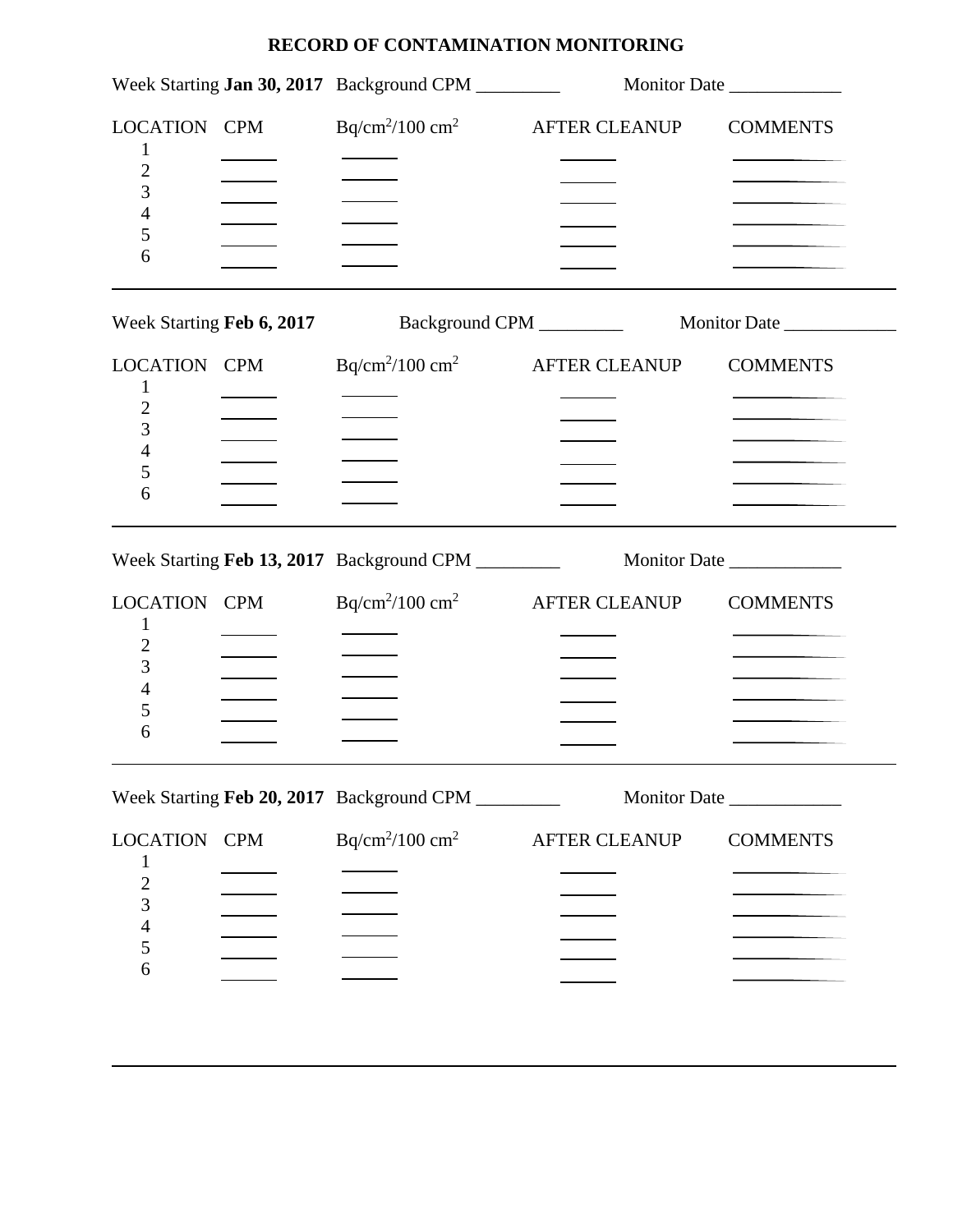|                                                                                | Week Starting Jan 30, 2017 Background CPM          |                      | Monitor Date    |
|--------------------------------------------------------------------------------|----------------------------------------------------|----------------------|-----------------|
| LOCATION CPM<br>1<br>2<br>3<br>4<br>5<br>6                                     | $Bq/cm2/100 cm2$ AFTER CLEANUP                     |                      | <b>COMMENTS</b> |
|                                                                                | Week Starting Feb 6, 2017 Background CPM _________ |                      |                 |
| LOCATION CPM<br>1<br>$\overline{c}$<br>3<br>4<br>5<br>6                        | $Bq/cm^2/100 cm^2$                                 | AFTER CLEANUP        | <b>COMMENTS</b> |
|                                                                                |                                                    |                      |                 |
| LOCATION CPM<br>1<br>2<br>3<br>4<br>5<br>6                                     | $Bq/cm^2/100 cm^2$                                 | <b>AFTER CLEANUP</b> | <b>COMMENTS</b> |
|                                                                                | Week Starting Feb 20, 2017 Background CPM ________ |                      |                 |
| LOCATION CPM<br>1<br>$\overline{c}$<br>3<br>$\overline{\mathcal{L}}$<br>5<br>6 | $Bq/cm^2/100 cm^2$                                 | <b>AFTER CLEANUP</b> | <b>COMMENTS</b> |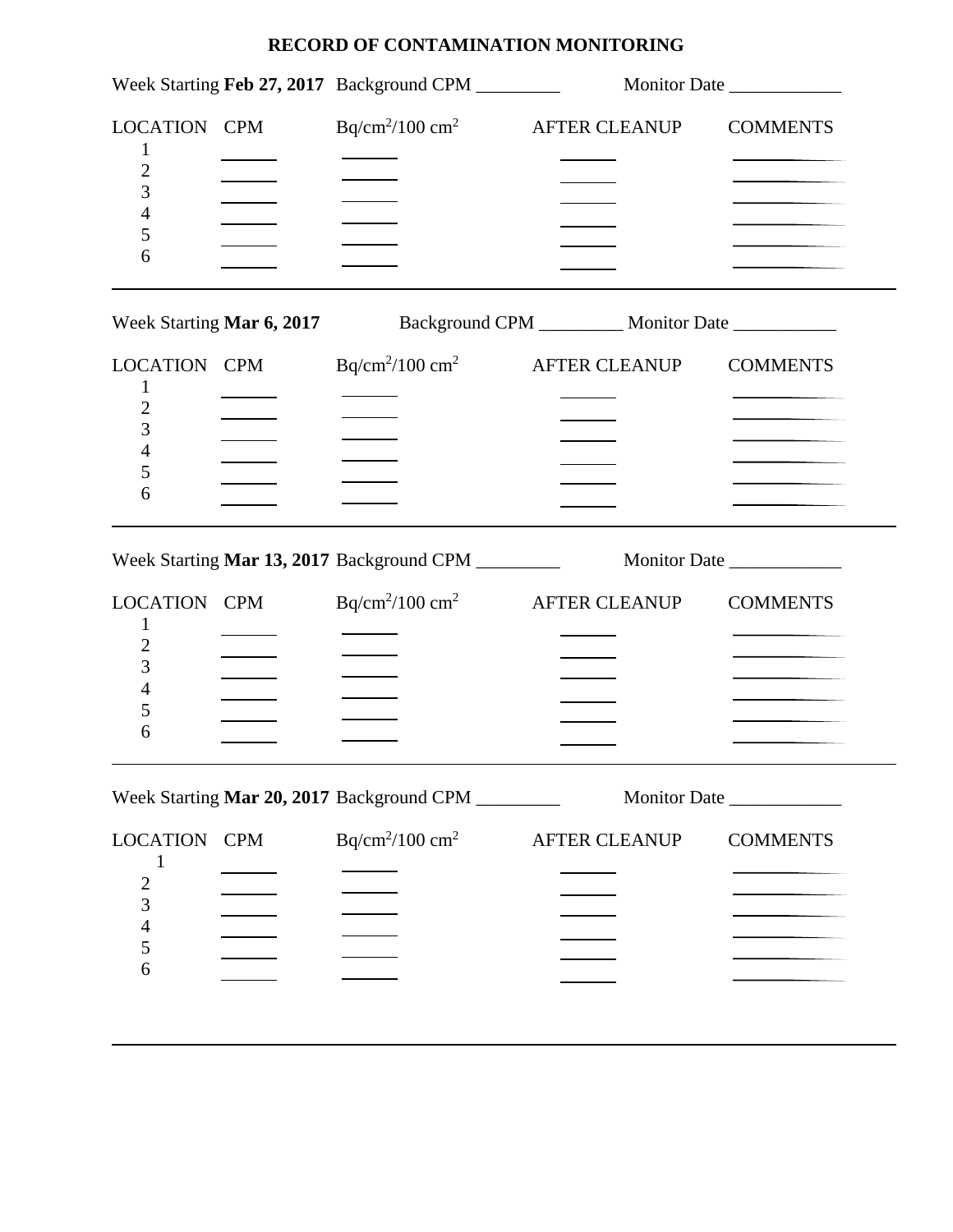|                                                                          | Week Starting Feb 27, 2017 Background CPM                                  |                      | Monitor Date    |
|--------------------------------------------------------------------------|----------------------------------------------------------------------------|----------------------|-----------------|
| LOCATION CPM<br>1<br>$\overline{c}$<br>3<br>4<br>5<br>6                  | $Bq/cm^2/100 cm^2$                                                         | <b>AFTER CLEANUP</b> | <b>COMMENTS</b> |
|                                                                          | Week Starting Mar 6, 2017 Background CPM __________ Monitor Date _________ |                      |                 |
| LOCATION CPM<br>1<br>$\overline{2}$<br>3<br>4<br>5<br>6                  | $Bq/cm^2/100 cm^2$ AFTER CLEANUP                                           |                      | <b>COMMENTS</b> |
|                                                                          | Week Starting Mar 13, 2017 Background CPM _________                        |                      | Monitor Date    |
| LOCATION CPM<br>1<br>$\overline{c}$<br>3<br>4<br>5<br>6                  | $Bq/cm^2/100 cm^2$ AFTER CLEANUP                                           |                      | <b>COMMENTS</b> |
|                                                                          | Week Starting Mar 20, 2017 Background CPM                                  |                      | Monitor Date    |
| LOCATION CPM<br>1<br>$\frac{2}{3}$<br>$\overline{\mathcal{L}}$<br>5<br>6 | $Bq/cm^2/100 cm^2$                                                         | <b>AFTER CLEANUP</b> | <b>COMMENTS</b> |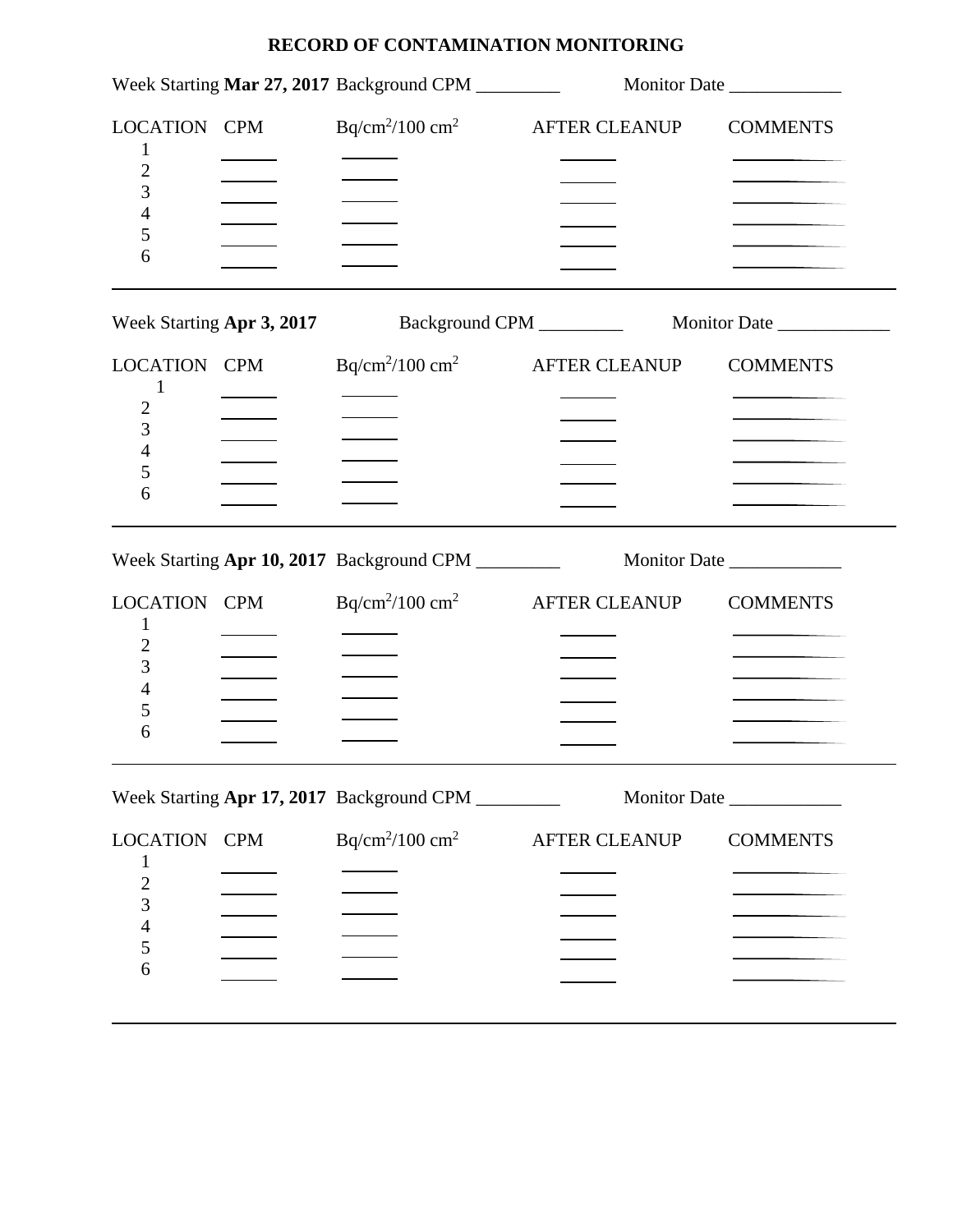|                                                                             | Week Starting Mar 27, 2017 Background CPM |                      | Monitor Date    |
|-----------------------------------------------------------------------------|-------------------------------------------|----------------------|-----------------|
| LOCATION CPM<br>1<br>2<br>3<br>4<br>5<br>6                                  | $Bq/cm2/100 cm2$ AFTER CLEANUP            |                      | <b>COMMENTS</b> |
| Week Starting Apr 3, 2017                                                   | Background CPM __________                 |                      | Monitor Date    |
| LOCATION CPM<br>1<br>$\overline{c}$<br>3<br>4<br>5<br>6                     | $Bq/cm^2/100 \text{ cm}^2$                | <b>AFTER CLEANUP</b> | <b>COMMENTS</b> |
|                                                                             |                                           |                      |                 |
| LOCATION CPM<br>1<br>2<br>3<br>4<br>5<br>6                                  | $Bq/cm^2/100 \text{ cm}^2$                | <b>AFTER CLEANUP</b> | <b>COMMENTS</b> |
|                                                                             | Week Starting Apr 17, 2017 Background CPM |                      |                 |
| <b>LOCATION CPM</b><br>1<br>$\overline{c}$<br>3<br>$\overline{4}$<br>5<br>6 | $Bq/cm^2/100 cm^2$                        | <b>AFTER CLEANUP</b> | <b>COMMENTS</b> |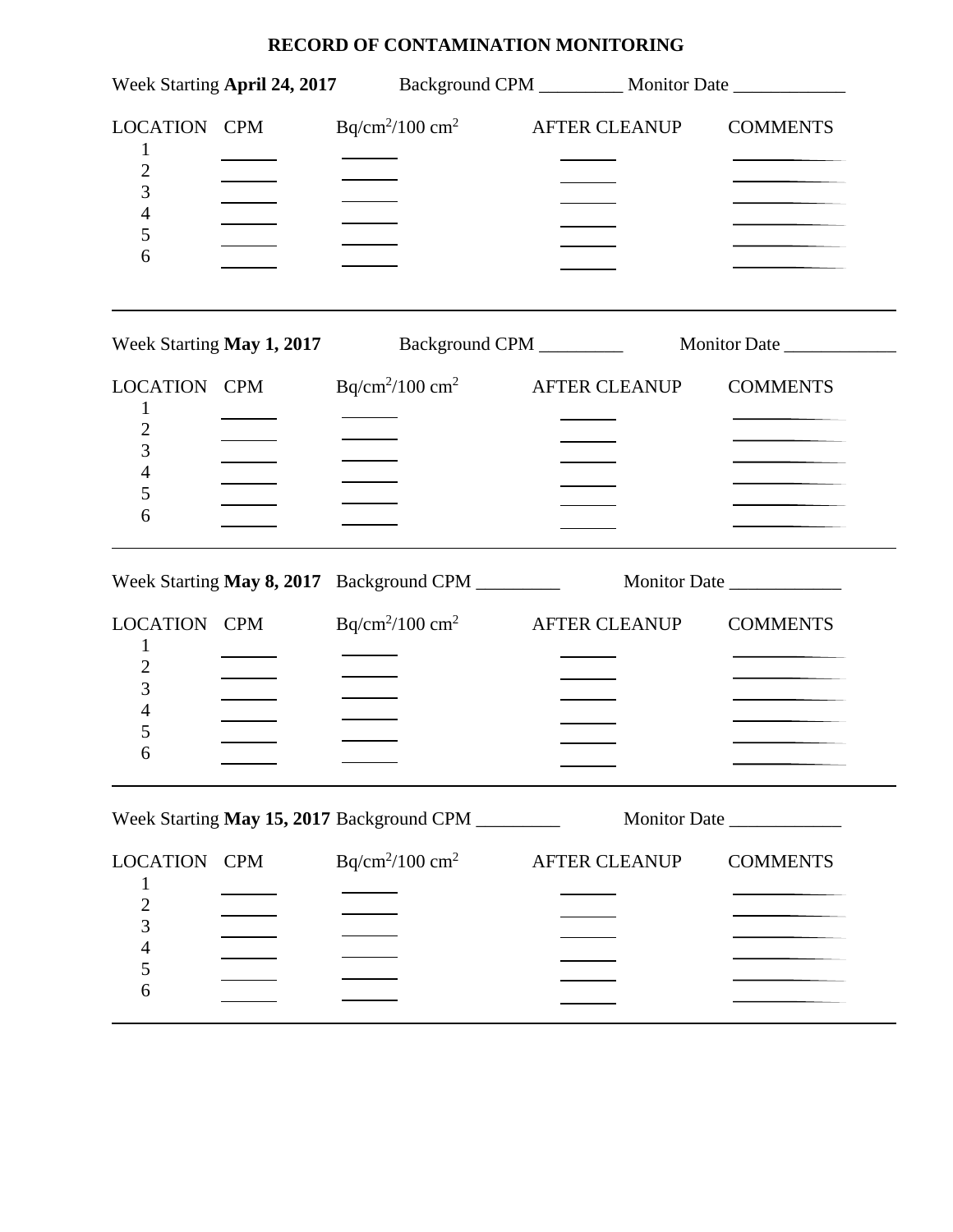|                                                                                |                    |                                                    |                      |               | Week Starting April 24, 2017 Background CPM __________ Monitor Date ____________ |
|--------------------------------------------------------------------------------|--------------------|----------------------------------------------------|----------------------|---------------|----------------------------------------------------------------------------------|
| LOCATION CPM<br>$\overline{c}$<br>3<br>4<br>5<br>6                             |                    | $Bq/cm^2/100 cm^2$                                 |                      | AFTER CLEANUP | <b>COMMENTS</b>                                                                  |
|                                                                                |                    | Week Starting May 1, 2017 Background CPM _________ |                      |               | Monitor Date _______________                                                     |
| LOCATION CPM<br>1<br>2<br>3<br>4<br>5<br>6                                     |                    | $Bq/cm^2/100 cm^2$                                 |                      | AFTER CLEANUP | <b>COMMENTS</b>                                                                  |
|                                                                                |                    |                                                    |                      |               | Week Starting May 8, 2017 Background CPM ____________ Monitor Date ____________  |
| LOCATION CPM<br>1<br>3<br>4<br>5<br>6                                          |                    | $Bq/cm^2/100 cm^2$ AFTER CLEANUP                   |                      |               | <b>COMMENTS</b>                                                                  |
|                                                                                |                    | Week Starting May 15, 2017 Background CPM          |                      |               | Monitor Date                                                                     |
| LOCATION CPM<br>1<br>$\overline{c}$<br>3<br>$\overline{\mathcal{L}}$<br>5<br>6 | $Bq/cm^2/100 cm^2$ |                                                    | <b>AFTER CLEANUP</b> |               | <b>COMMENTS</b>                                                                  |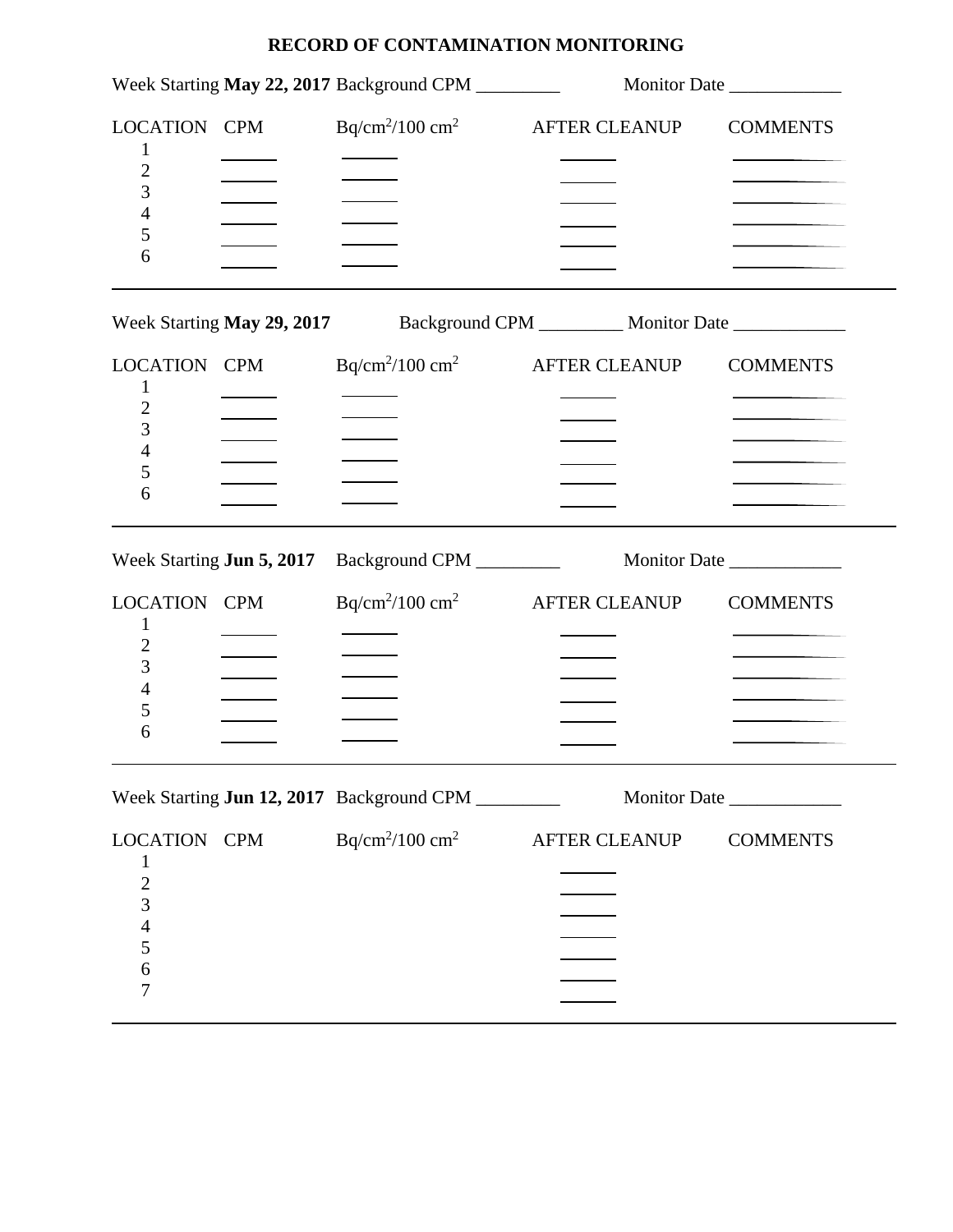|                                                                                    |                                  | Week Starting May 22, 2017 Background CPM _________                        |                      | Monitor Date    |
|------------------------------------------------------------------------------------|----------------------------------|----------------------------------------------------------------------------|----------------------|-----------------|
| LOCATION CPM<br>1<br>$\overline{c}$<br>3<br>4<br>5<br>6                            |                                  | $Bq/cm^2/100 cm^2$                                                         | <b>AFTER CLEANUP</b> | <b>COMMENTS</b> |
|                                                                                    |                                  | Week Starting May 29, 2017 Background CPM _________ Monitor Date _________ |                      |                 |
| <b>LOCATION CPM</b><br>1<br>$\overline{c}$<br>3<br>4<br>5<br>6                     |                                  | $Bq/cm^2/100 cm^2$ AFTER CLEANUP                                           |                      | <b>COMMENTS</b> |
|                                                                                    | Week Starting <b>Jun 5, 2017</b> | Background CPM _________                                                   |                      | Monitor Date    |
| <b>LOCATION CPM</b><br>1<br>2<br>3<br>4<br>5<br>6                                  |                                  | $Bq/cm^2/100 cm^2$                                                         | <b>AFTER CLEANUP</b> | <b>COMMENTS</b> |
|                                                                                    |                                  | Week Starting Jun 12, 2017 Background CPM                                  |                      | Monitor Date    |
| LOCATION CPM<br>1<br>$\frac{2}{3}$<br>$\overline{4}$<br>5<br>$\boldsymbol{6}$<br>7 |                                  | $Bq/cm^2/100 cm^2$                                                         | AFTER CLEANUP        | <b>COMMENTS</b> |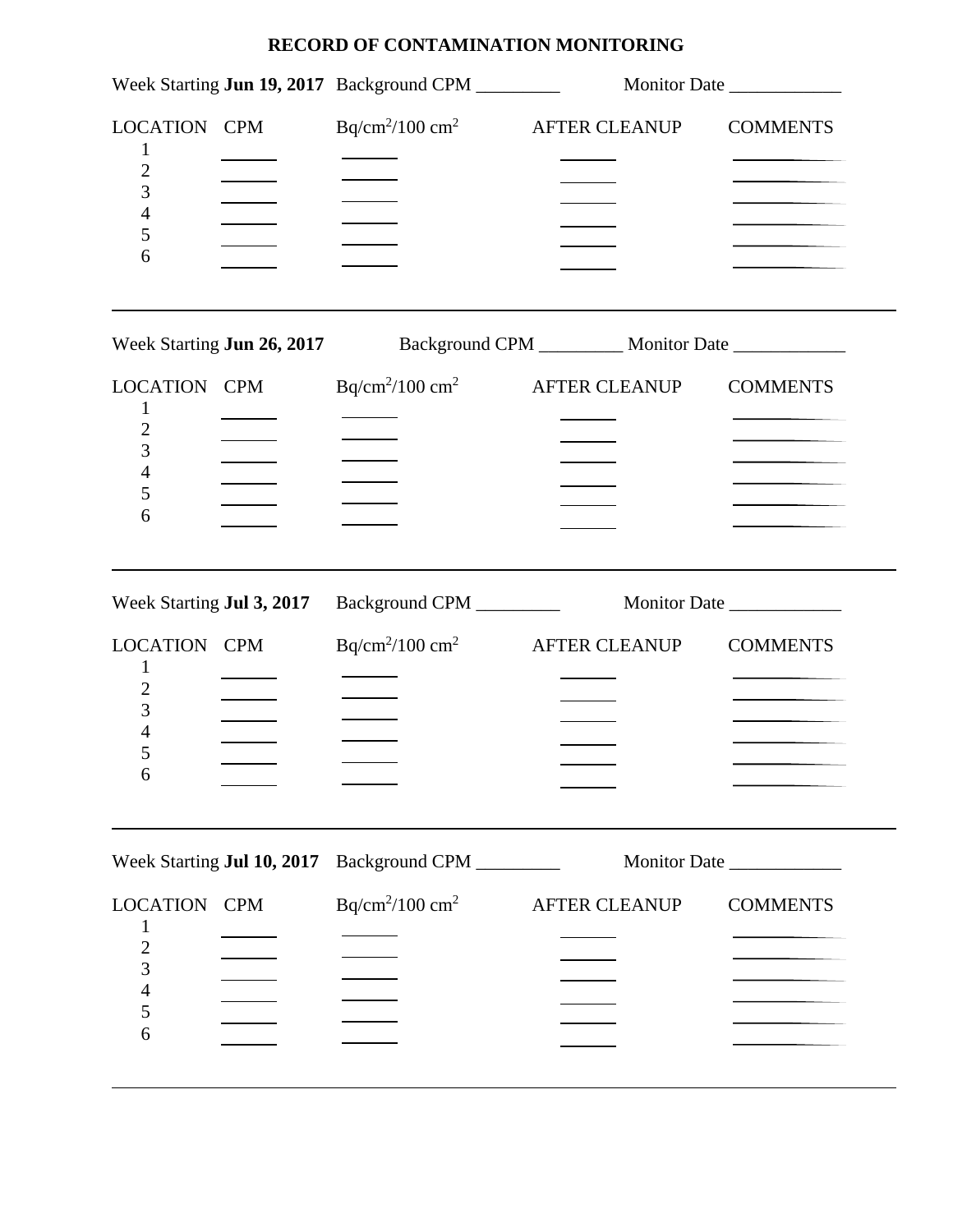|                                                                                |                            | Week Starting Jun 19, 2017 Background CPM                                  |                      | Monitor Date                                         |
|--------------------------------------------------------------------------------|----------------------------|----------------------------------------------------------------------------|----------------------|------------------------------------------------------|
| LOCATION CPM<br>1<br>$\overline{c}$<br>3<br>$\overline{\mathcal{L}}$<br>5<br>6 |                            | $Bq/cm^2/100 cm^2$ AFTER CLEANUP                                           |                      | <b>COMMENTS</b>                                      |
|                                                                                |                            | Week Starting Jun 26, 2017 Background CPM _________ Monitor Date _________ |                      |                                                      |
| LOCATION CPM<br>1<br>$\overline{2}$<br>3<br>$\overline{4}$<br>5<br>6           |                            | $Bq/cm^2/100 cm^2$                                                         | <b>AFTER CLEANUP</b> | <b>COMMENTS</b><br>the control of the control of the |
| Week Starting Jul 3, 2017                                                      |                            | Background CPM _________                                                   |                      | Monitor Date                                         |
| <b>LOCATION CPM</b><br>1<br>2<br>3<br>4<br>5<br>6                              |                            | $Bq/cm^2/100 cm^2$                                                         | <b>AFTER CLEANUP</b> | <b>COMMENTS</b>                                      |
|                                                                                | Week Starting Jul 10, 2017 | Background CPM __________                                                  |                      |                                                      |
| <b>LOCATION CPM</b><br>$\overline{2}$<br>3                                     |                            | $Bq/cm^2/100 cm^2$                                                         | <b>AFTER CLEANUP</b> | <b>COMMENTS</b>                                      |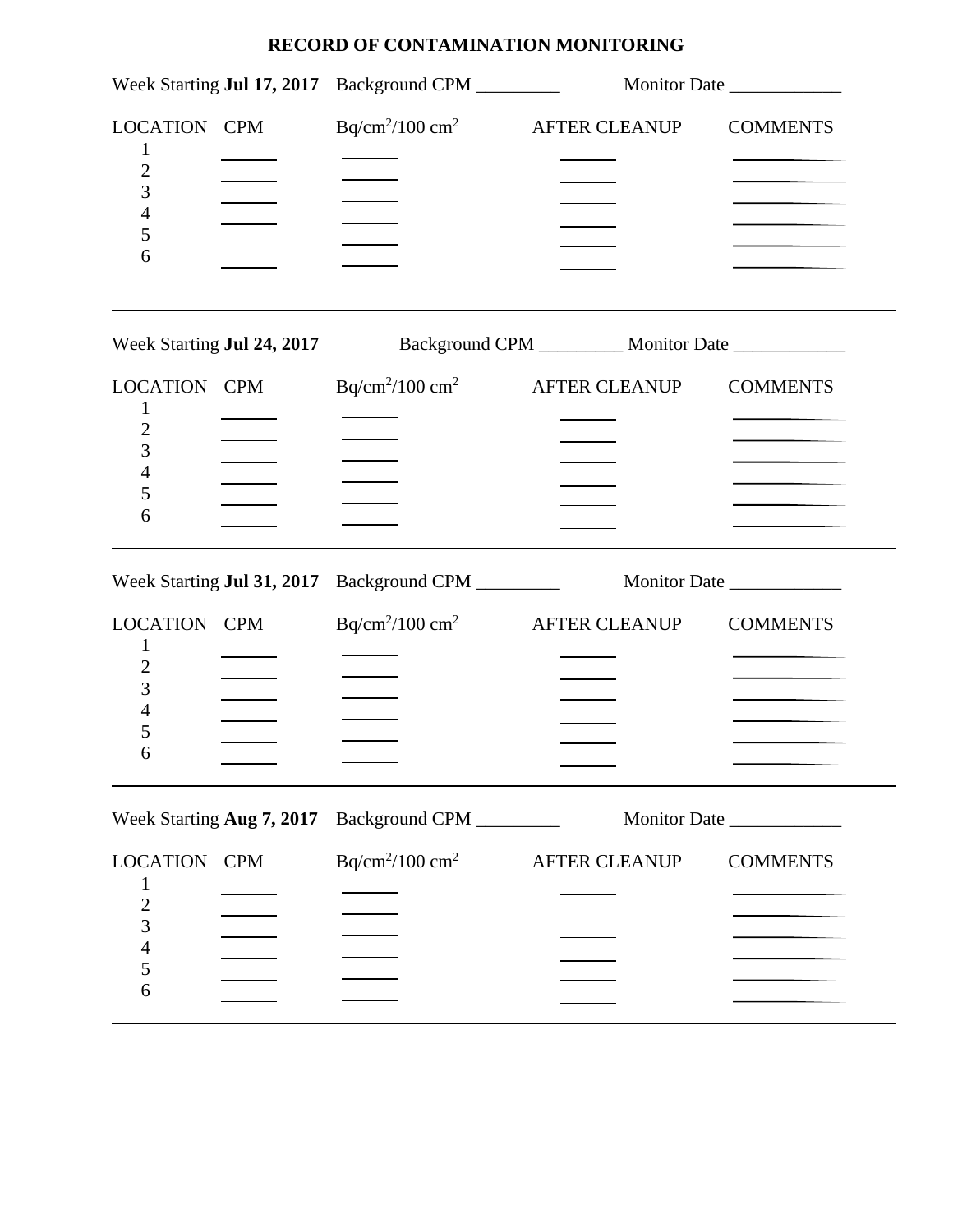|                                                            |                                   | Week Starting Jul 17, 2017 Background CPM |                                                                            | Monitor Date                                         |  |
|------------------------------------------------------------|-----------------------------------|-------------------------------------------|----------------------------------------------------------------------------|------------------------------------------------------|--|
| LOCATION CPM<br>2<br>3<br>4<br>5<br>6                      |                                   |                                           | $Bq/cm^2/100 cm^2$ AFTER CLEANUP                                           | <b>COMMENTS</b><br>the control of the control of the |  |
|                                                            |                                   |                                           | Week Starting Jul 24, 2017 Background CPM _________ Monitor Date _________ |                                                      |  |
| LOCATION CPM<br>1<br>2<br>3<br>4<br>5<br>6                 |                                   | $Bq/cm^2/100 cm^2$                        | <b>AFTER CLEANUP</b>                                                       | <b>COMMENTS</b>                                      |  |
|                                                            | Week Starting <b>Jul 31, 2017</b> |                                           |                                                                            |                                                      |  |
| LOCATION CPM<br>1<br>2<br>3<br>4<br>5<br>6                 |                                   |                                           | $Bq/cm^2/100 cm^2$ AFTER CLEANUP                                           | <b>COMMENTS</b>                                      |  |
|                                                            | Week Starting Aug 7, 2017         | Background CPM __________                 |                                                                            | Monitor Date ____________                            |  |
| LOCATION CPM<br>1<br>$\overline{c}$<br>3<br>$\overline{4}$ |                                   | $Bq/cm^2/100 cm^2$                        | <b>AFTER CLEANUP</b>                                                       | <b>COMMENTS</b>                                      |  |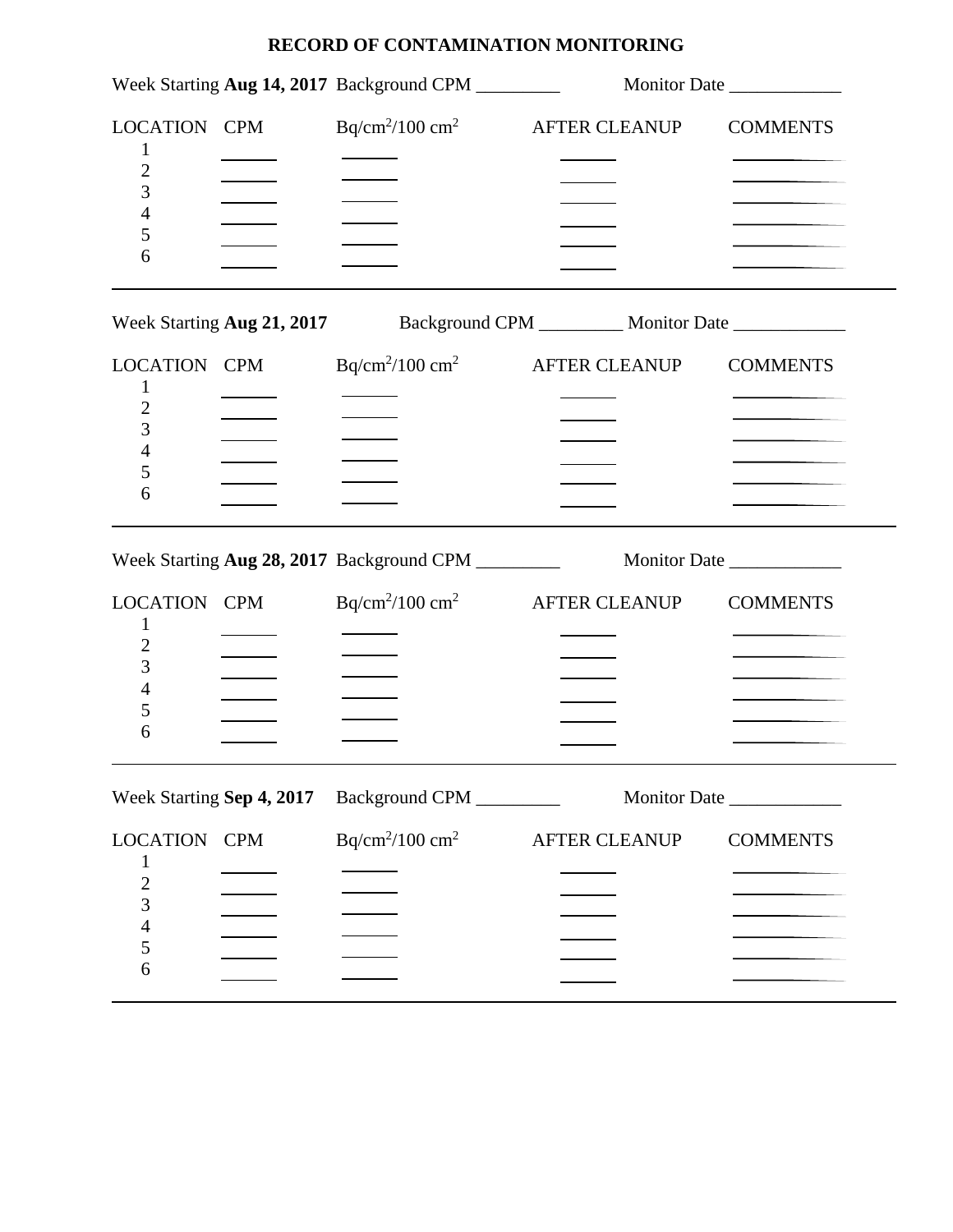|                                                                                                      | Week Starting Aug 14, 2017 Background CPM ________                         |                      | Monitor Date    |
|------------------------------------------------------------------------------------------------------|----------------------------------------------------------------------------|----------------------|-----------------|
| LOCATION CPM<br>1<br>$\overline{c}$<br>3<br>4<br>5<br>6                                              | $Bq/cm^2/100 cm^2$                                                         | AFTER CLEANUP        | <b>COMMENTS</b> |
|                                                                                                      | Week Starting Aug 21, 2017 Background CPM _________ Monitor Date _________ |                      |                 |
| LOCATION CPM<br>1<br>$\overline{c}$<br>3<br>4<br>5<br>6                                              | $Bq/cm^2/100 cm^2$                                                         | <b>AFTER CLEANUP</b> | <b>COMMENTS</b> |
|                                                                                                      |                                                                            |                      |                 |
| LOCATION CPM<br>1<br>$\overline{c}$<br>3<br>4<br>5<br>6                                              | $Bq/cm^2/100 cm^2$ AFTER CLEANUP                                           |                      | <b>COMMENTS</b> |
| Week Starting Sep 4, 2017                                                                            | Background CPM                                                             |                      | Monitor Date    |
| LOCATION CPM<br>1<br>$\overline{\mathbf{c}}$<br>$\overline{3}$<br>$\overline{\mathcal{L}}$<br>5<br>6 | $Bq/cm^2/100 cm^2$                                                         | <b>AFTER CLEANUP</b> | <b>COMMENTS</b> |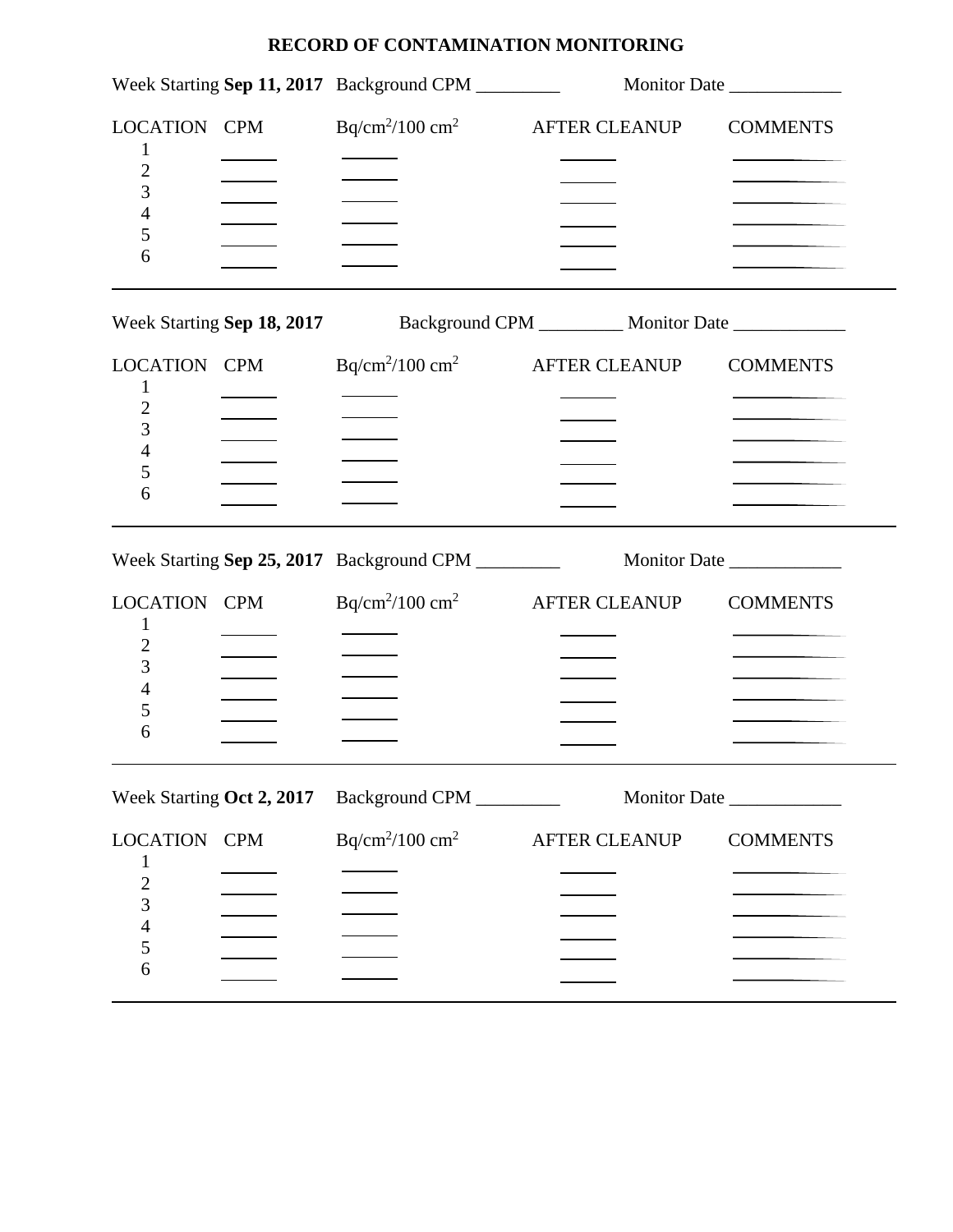|                                                                                                          | Week Starting Sep 11, 2017 Background CPM ________                         |                      | Monitor Date                       |
|----------------------------------------------------------------------------------------------------------|----------------------------------------------------------------------------|----------------------|------------------------------------|
| LOCATION CPM<br>$\bf{l}$<br>$\overline{c}$<br>3<br>4<br>5<br>6                                           | $Bq/cm^2/100 cm^2$                                                         | <b>AFTER CLEANUP</b> | <b>COMMENTS</b>                    |
|                                                                                                          | Week Starting Sep 18, 2017 Background CPM _________ Monitor Date _________ |                      |                                    |
| LOCATION CPM<br>1<br>$\overline{c}$<br>3<br>4<br>5<br>6<br>LOCATION CPM<br>1<br>$\overline{c}$<br>3<br>4 | $Bq/cm^2/100 cm^2$ AFTER CLEANUP<br>$Bq/cm^2/100 cm^2$                     | <b>AFTER CLEANUP</b> | <b>COMMENTS</b><br><b>COMMENTS</b> |
| 5<br>6                                                                                                   |                                                                            |                      |                                    |
| Week Starting Oct 2, 2017                                                                                | Background CPM _________                                                   |                      | Monitor Date                       |
| <b>LOCATION CPM</b><br>$\mathbf 1$<br>$\overline{\mathbf{c}}$<br>3<br>$\overline{\mathcal{L}}$<br>5<br>6 | $Bq/cm^2/100$ cm <sup>2</sup>                                              | <b>AFTER CLEANUP</b> | <b>COMMENTS</b>                    |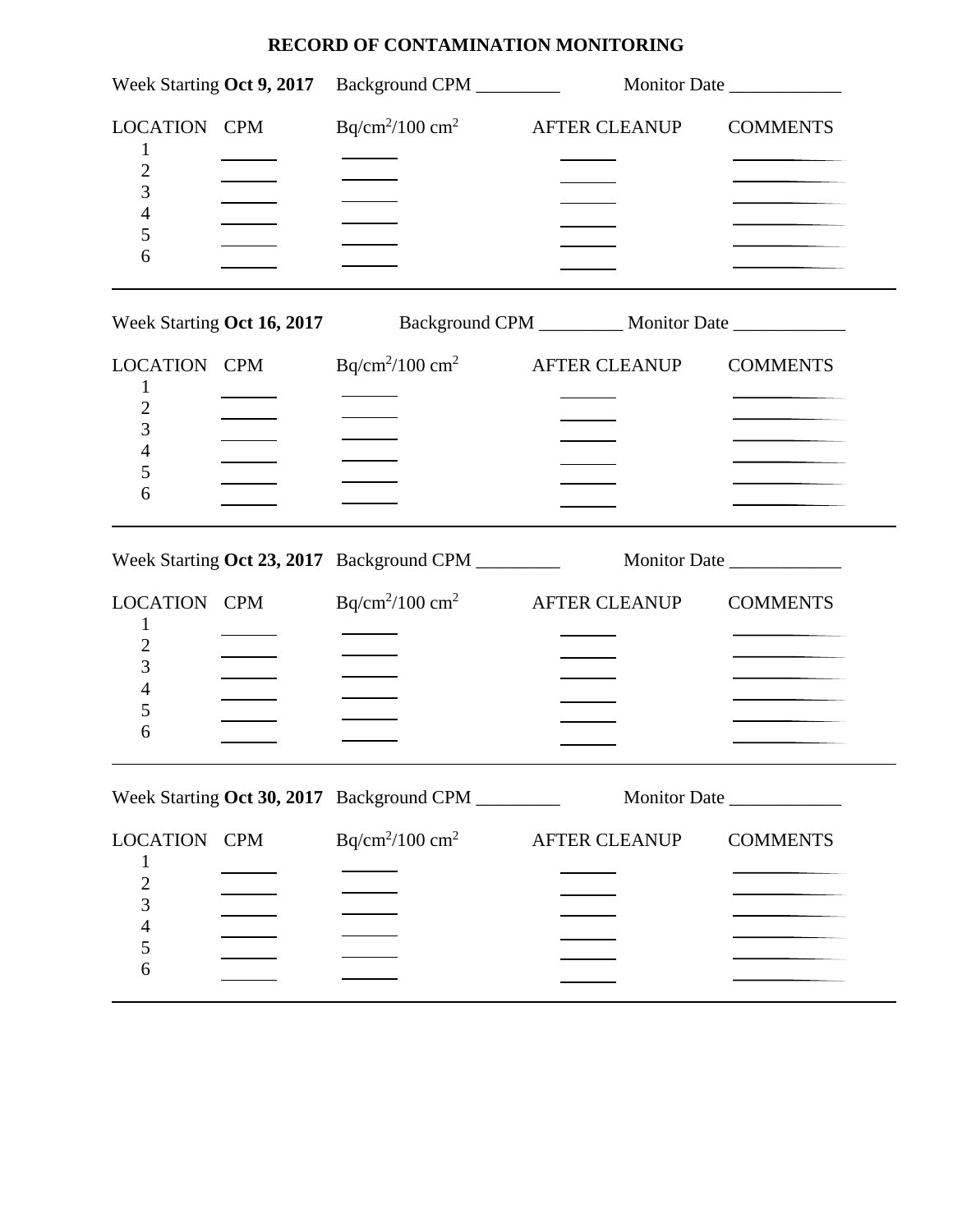|                                                                                       | Week Starting Oct 9, 2017 Background CPM                                   |                      | Monitor Date    |
|---------------------------------------------------------------------------------------|----------------------------------------------------------------------------|----------------------|-----------------|
| LOCATION CPM<br>$\overline{c}$<br>3<br>4<br>5<br>6                                    | $Bq/cm^2/100 cm^2$ AFTER CLEANUP                                           |                      | <b>COMMENTS</b> |
|                                                                                       | Week Starting Oct 16, 2017 Background CPM _________ Monitor Date _________ |                      |                 |
| LOCATION CPM<br>1<br>2<br>3<br>4<br>5<br>6                                            | $Bq/cm^2/100 cm^2$                                                         | <b>AFTER CLEANUP</b> | <b>COMMENTS</b> |
|                                                                                       | Week Starting Oct 23, 2017 Background CPM _________                        |                      |                 |
| LOCATION CPM<br>1<br>2<br>3<br>4<br>5<br>6                                            | $Bq/cm^2/100 cm^2$                                                         | <b>AFTER CLEANUP</b> | <b>COMMENTS</b> |
|                                                                                       | Week Starting Oct 30, 2017 Background CPM                                  |                      | Monitor Date    |
| <b>LOCATION CPM</b><br>$\mathbf 1$<br>$\overline{c}$<br>3<br>$\overline{4}$<br>5<br>6 | $Bq/cm^2/100 cm^2$                                                         | <b>AFTER CLEANUP</b> | <b>COMMENTS</b> |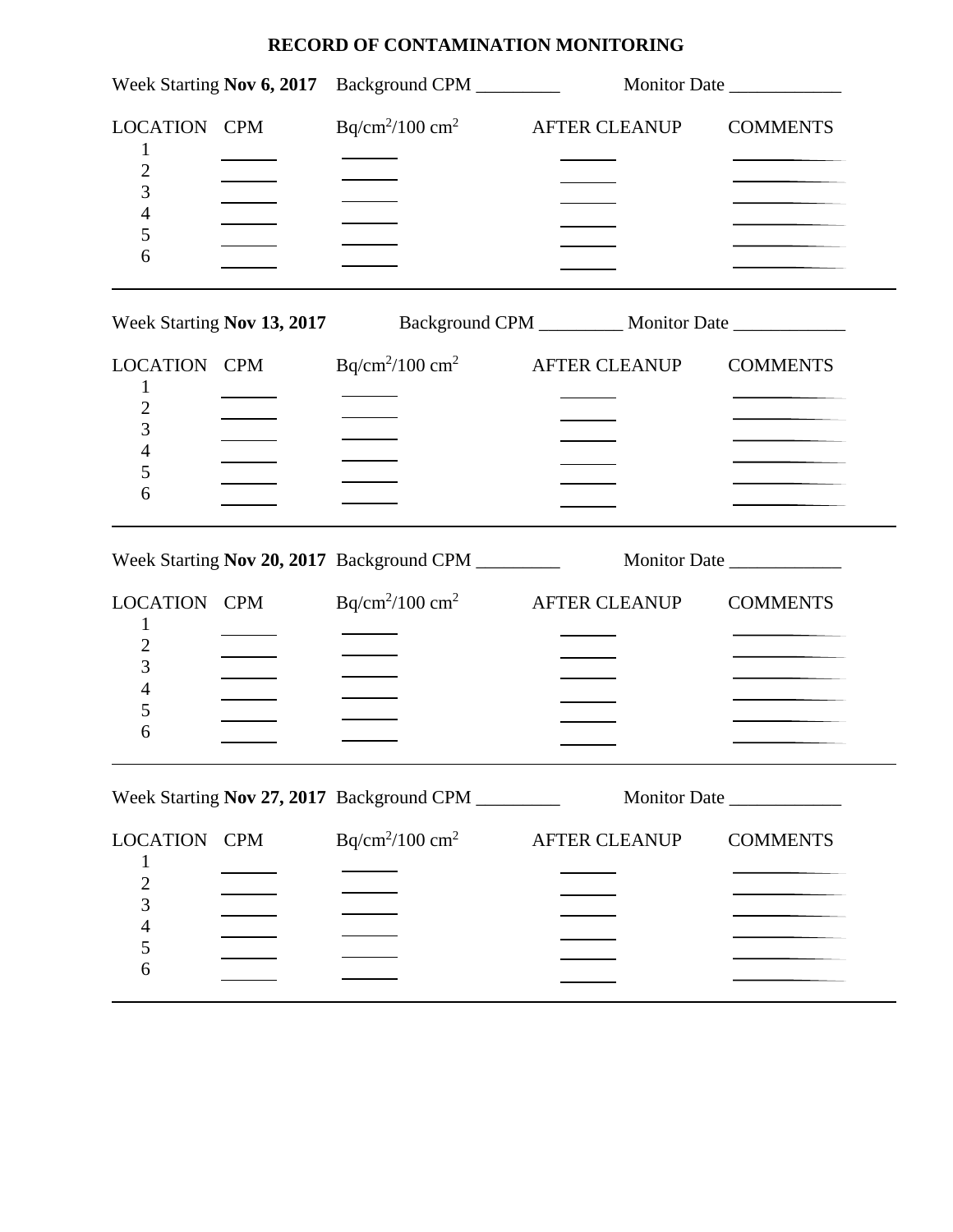|                                                                | Week Starting Nov 6, 2017 Background CPM                                   |                      | Monitor Date    |
|----------------------------------------------------------------|----------------------------------------------------------------------------|----------------------|-----------------|
| LOCATION CPM<br>$\bf{l}$<br>$\overline{c}$<br>3<br>4<br>5<br>6 | $Bq/cm^2/100$ cm <sup>2</sup>                                              | <b>AFTER CLEANUP</b> | <b>COMMENTS</b> |
|                                                                | Week Starting Nov 13, 2017 Background CPM _________ Monitor Date _________ |                      |                 |
| LOCATION CPM<br>1<br>2<br>3<br>4<br>5<br>6                     | $Bq/cm^2/100 \text{ cm}^2$                                                 | <b>AFTER CLEANUP</b> | <b>COMMENTS</b> |
|                                                                | Week Starting Nov 20, 2017 Background CPM ________                         |                      | Monitor Date    |
| LOCATION CPM<br>1<br>$\overline{c}$<br>3<br>4<br>5             | $Bq/cm^2/100 cm^2$                                                         | <b>AFTER CLEANUP</b> | <b>COMMENTS</b> |
| 6                                                              |                                                                            |                      |                 |
|                                                                | Week Starting Nov 27, 2017 Background CPM                                  |                      | Monitor Date    |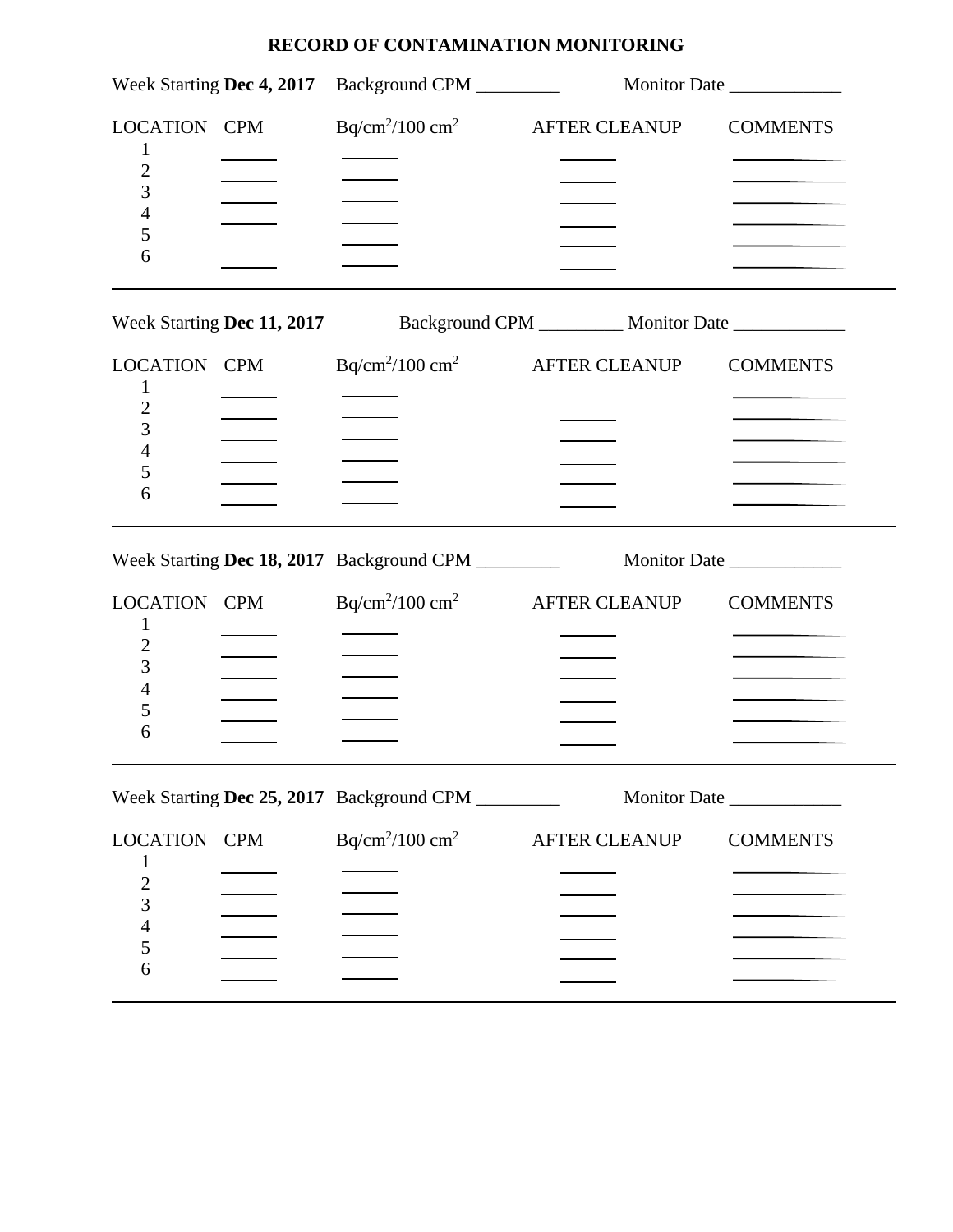|                                                         | Week Starting Dec 4, 2017 Background CPM                                     |                      | Monitor Date    |
|---------------------------------------------------------|------------------------------------------------------------------------------|----------------------|-----------------|
| LOCATION CPM<br>1<br>$\overline{c}$<br>3<br>4<br>5<br>6 | $Bq/cm^2/100 cm^2$                                                           | <b>AFTER CLEANUP</b> | <b>COMMENTS</b> |
|                                                         | Week Starting Dec 11, 2017 Background CPM __________ Monitor Date __________ |                      |                 |
| LOCATION CPM<br>1<br>$\overline{c}$<br>3<br>4<br>5<br>6 | $Bq/cm^2/100 cm^2$                                                           | <b>AFTER CLEANUP</b> | <b>COMMENTS</b> |
|                                                         |                                                                              |                      |                 |
| LOCATION CPM<br>1<br>$\overline{c}$                     | $Bq/cm^2/100 cm^2$                                                           | <b>AFTER CLEANUP</b> | <b>COMMENTS</b> |
| 3<br>4<br>5<br>6                                        |                                                                              |                      |                 |
|                                                         | Week Starting Dec 25, 2017 Background CPM                                    |                      |                 |